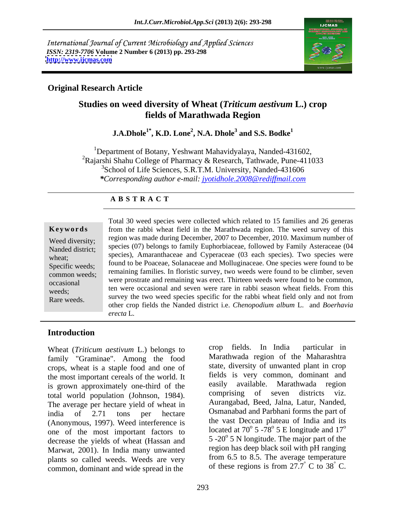International Journal of Current Microbiology and Applied Sciences *ISSN: 2319-7706* **Volume 2 Number 6 (2013) pp. 293-298 <http://www.ijcmas.com>**



#### **Original Research Article**

# **Studies on weed diversity of Wheat (***Triticum aestivum* **L.) crop fields of Marathwada Region**

#### **J.A.Dhole1\* , K.D. Lone<sup>2</sup> , N.A. Dhole<sup>3</sup> and S.S. Bodke<sup>1</sup>**

<sup>1</sup>Department of Botany, Yeshwant Mahavidyalaya, Nanded-431602, <sup>2</sup>Rajarshi Shahu College of Pharmacy & Research, Tathwade, Pune-411033 <sup>3</sup>School of Life Sciences, S.R.T.M. University, Nanded-431606 *\*Corresponding author e-mail: jyotidhole.2008@rediffmail.com*

#### **A B S T R A C T**

**Keywords** from the rabbi wheat field in the Marathwada region. The weed survey of this Weed diversity; region was made during December, 2007 to December, 2010. Maximum number of Nanded district; species  $(07)$  belongs to family Euphorolaceae, followed by Family Asteraceae (04 wheat; species), Amaranthaceae and Cyperaceae (03 each species). Two species were Specific weeds; found to be Poaceae, Solanaceae and Molluginaceae. One species were found to be common weeds; remaining families. In floristic survey, two weeds were found to be climber, seven were prostrate and remaining was erect. Thirteen weeds were found to be common, ten were occasional and seven were rare in rabbi season wheat fields. From this weeds; Rare weeds. Survey the two weed species specific for the rabbi wheat field only and not from Total 30 weed species were collected which related to 15 families and 26 generas species (07) belongs to family Euphorbiaceae, followed by Family Asteraceae (04 other crop fields the Nanded district i.e. *Chenopodium album* L. and *Boerhavia erecta* L*.*

# **Introduction**

Wheat (*Triticum aestivum L.*) belongs to crop fields. In India particular in family "Graminae". Among the food crops, wheat is a staple food and one of the most important cereals of the world. It is grown approximately one-third of the easily available. Marathwada region<br>total world population (Johnson 1984) comprising of seven districts viz. total world population (Johnson, 1984). The average per hectare yield of wheat in india of 2.71 tons per hectare Osmanabad and Parbhani forms the part of (Anonymous, 1997). Weed interference is one of the most important factors to decrease the yields of wheat (Hassan and Marwat, 2001). In India many unwanted plants so called weeds. Weeds are very common, dominant and wide spread in the

crop fields. In India particular in Marathwada region of the Maharashtra state, diversity of unwanted plant in crop fields is very common, dominant and easily available. Marathwada region comprising of seven districts viz. Aurangabad, Beed, Jalna, Latur, Nanded, the vast Deccan plateau of India and its located at 70 $\degree$  5 -7 $\frac{8}{\degree}$  5 E longitude and 17 $\degree$ 5 E longitude and  $17^{\circ}$ o  $5 -20^{\circ}$  5 N longitude. The major part of the region has deep black soil with pH ranging from 6.5 to 8.5. The average temperature of these regions is from  $27.7^{\circ}$  C to  $38^{\circ}$  C.  $\degree$  C to 38 $\degree$  C.  $\degree$  C.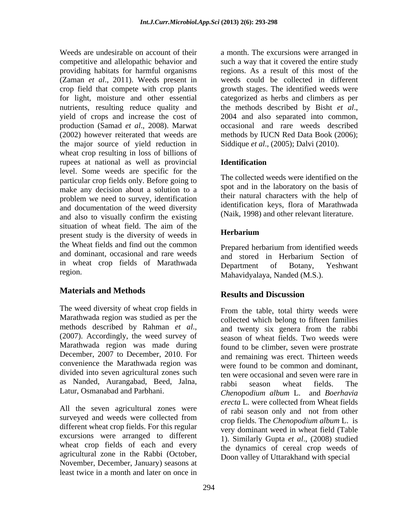providing habitats for harmful organisms crop field that compete with crop plants nutrients, resulting reduce quality and the methods described by Bisht et al., yield of crops and increase the cost of 2004 and also separated into common, production (Samad *et al.*, 2008). Marwat the major source of yield reduction in wheat crop resulting in loss of billions of rupees at national as well as provincial **Identification** level. Some weeds are specific for the particular crop fields only. Before going to make any decision about a solution to a problem we need to survey, identification and documentation of the weed diversity and also to visually confirm the existing (Naik, 1998) and other relevant interature. situation of wheat field. The aim of the present study is the diversity of weeds in **Herbarium** the Wheat fields and find out the common and dominant, occasional and rare weeds and stored in Herbarium Section of in wheat crop fields of Marathwada Department of Botany, Yeshwant

# **Materials and Methods**

The weed diversity of wheat crop fields in Marathwada region was studied as per the methods described by Rahman *et al*., (2007). Accordingly, the weed survey of Marathwada region was made during December, 2007 to December, 2010. For convenience the Marathwada region was divided into seven agricultural zones such as Nanded, Aurangabad, Beed, Jalna,

All the seven agricultural zones were surveyed and weeds were collected from different wheat crop fields. For this regular excursions were arranged to different wheat crop fields of each and every agricultural zone in the Rabbi (October, November, December, January) seasons at least twice in a month and later on once in

Weeds are undesirable on account of their a month. The excursions were arranged in competitive and allelopathic behavior and such a way that it covered the entire study (Zaman *et al*., 2011). Weeds present in weeds could be collected in different for light, moisture and other essential categorized as herbs and climbers as per (2002) however reiterated that weeds are methods by IUCN Red Data Book (2006); regions. As a result of this most of the growth stages. The identified weeds were the methods described by Bisht *et al*., 2004 and also separated into common, occasional and rare weeds described Siddique *et al*., (2005); Dalvi (2010).

# **Identification**

The collected weeds were identified on the spot and in the laboratory on the basis of their natural characters with the help of identification keys, flora of Marathwada (Naik, 1998) and other relevant literature.

# **Herbarium**

region. Mahavidyalaya, Nanded (M.S.). Prepared herbarium from identified weeds and stored in Herbarium Section of Department of Botany, Yeshwant

# **Results and Discussion**

Latur, Osmanabad and Parbhani. *Chenopodium album* L. and *Boerhavia*  From the table, total thirty weeds were collected which belong to fifteen families and twenty six genera from the rabbi season of wheat fields. Two weeds were found to be climber, seven were prostrate and remaining was erect. Thirteen weeds were found to be common and dominant, ten were occasional and seven were rare in rabbi season wheat fields. The *erecta* L*.* were collected from Wheat fields of rabi season only and not from other crop fields. The *Chenopodium album* L. is very dominant weed in wheat field (Table 1). Similarly Gupta *et al*., (2008) studied the dynamics of cereal crop weeds of Doon valley of Uttarakhand with special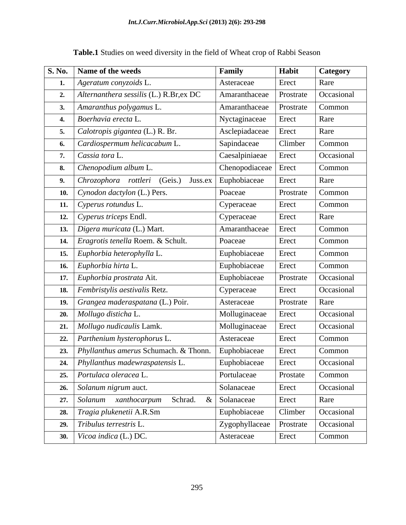|    | S. No.   Name of the weeds                           | Family                     | Habit     | Category   |
|----|------------------------------------------------------|----------------------------|-----------|------------|
|    | Ageratum conyzoids L.                                | Asteraceae                 | Erect     | Rare       |
|    | 2. Alternanthera sessilis $(L)$ R.Br, ex DC          | Amaranthaceae              | Prostrate | Occasional |
| 3. | $\vert$ Amaranthus polygamus L.                      | Amaranthaceae              | Prostrate | Common     |
|    | 4. Boerhavia erecta L.                               | Nyctaginaceae              | Erect     | Rare       |
|    | 5. $\big $ <i>Calotropis gigantea</i> (L.) R. Br.    | Asclepiadaceae             | Erect     | Rare       |
|    | <b>6.</b> Cardiospermum helicacabum L.               | Sapindaceae                | Climber   | Common     |
|    | Cassia tora L.                                       | Caesalpiniaeae             | Erect     | Occasional |
|    | 8. Chenopodium album L.                              | Chenopodiaceae   Erect     |           | Common     |
| 9. | $\vert$ Chrozophora rottleri (Geis.) Juss.ex $\vert$ | Euphobiaceae               | Erect     | Rare       |
|    | 10. Cynodon dactylon $(L.)$ Pers.                    | Poaceae                    | Prostrate | Common     |
|    | 11. Cyperus rotundus L.                              | Cyperaceae                 | Erect     | Common     |
|    | 12. Cyperus triceps Endl.                            | Cyperaceae                 | Erect     | Rare       |
|    | 13.   Digera muricata (L.) Mart.                     | Amaranthaceae              | Erect     | Common     |
|    | 14. <i>Eragrotis tenella</i> Roem. & Schult.         | Poaceae                    | Erect     | Common     |
|    | 15. Euphorbia heterophylla L.                        | Euphobiaceae               | Erect     | Common     |
|    | 16. Euphorbia hirta L.                               | Euphobiaceae               | Erect     | Common     |
|    | 17. Euphorbia prostrata Ait.                         | Euphobiaceae               | Prostrate | Occasional |
|    | 18. Fembristylis aestivalis Retz.                    | Cyperaceae                 | Erect     | Occasional |
|    | 19. Grangea maderaspatana (L.) Poir.                 | Asteraceae                 | Prostrate | Rare       |
|    | 20. Mollugo disticha L.                              | Molluginaceae              | Erect     | Occasional |
|    | 21.   Mollugo nudicaulis Lamk.                       | Molluginaceae              | Erect     | Occasional |
|    | 22.   Parthenium hysterophorus L.                    | Asteraceae                 | Erect     | Common     |
|    | 23. <i>Phyllanthus amerus</i> Schumach. & Thonn.     | Euphobiaceae               | Erect     | Common     |
|    | 24.   Phyllanthus madewraspatensis $L$ .             | Euphobiaceae   Erect       |           | Occasional |
|    | 25. Portulaca oleracea L.                            | Portulaceae                | Prostate  | Common     |
|    | 26. Solanum nigrum auct.                             | Solanaceae                 | Erect     | Occasional |
|    | 27. Solanum xanthocarpum Schrad. &                   | Solanaceae                 | Erect     | Rare       |
|    | 28. Tragia plukenetii A.R.Sm                         | Euphobiaceae               | Climber   | Occasional |
|    | 29. $\vert$ Tribulus terrestris L.                   | Zygophyllaceae   Prostrate |           | Occasional |
|    | 30. <i>Vicoa indica</i> (L.) DC.                     | Asteraceae                 | Erect     | Common     |

**Table.1** Studies on weed diversity in the field of Wheat crop of Rabbi Season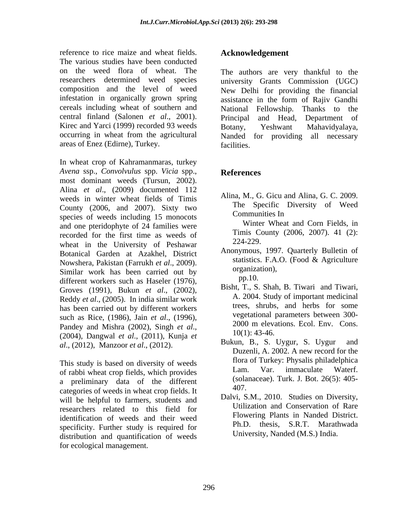reference to rice maize and wheat fields. The various studies have been conducted on the weed flora of wheat. The The authors are very thankful to the infestation in organically grown spring cereals including wheat of southern and National Fellowship. Thanks to the Kirec and Yarci (1999) recorded 93 weeds Botany, Yeshwant Mahavidyalaya, areas of Enez (Edirne), Turkey.

In wheat crop of Kahramanmaras, turkey *Avena* ssp., *Convolvulus* spp. *Vicia* spp., most dominant weeds (Tursun, 2002). Alina *et al*., (2009) documented 112 weeds in winter wheat fields of Timis County (2006, and 2007). Sixty two species of weeds including 15 monocots and one pteridophyte of 24 families were recorded for the first time as weeds of the limit Contains the Human property of Beckeyer 224-229. wheat in the University of Peshawar Botanical Garden at Azakhel, District Anonymous, 1997. Quarterly Bulletin of<br>November Bokiston (Formuch et al. 2000) statistics. F.A.O. (Food & Agriculture Nowshera, Pakistan (Farrukh *et al.*, 2009). Situations. F.A.O. (Food & Agriculture<br>Similar work has been carried out by organization), different workers such as Haseler (1976),<br>
Groves (1991), Bukun et al. (2002) Bisht, T., S. Shah, B. Tiwari and Tiwari, Groves (1991), Bukun *et al.*, (2002), Bisht, I., S. Shan, B. Hwari and Hwari, Beddy et al. (2005), In india cimilar work and A. 2004. Study of important medicinal Reddy *et al*., (2005). In india similar work has been carried out by different workers such as Rice, (1986), Jain *et al.*, (1996),<br>
Readers and Michael (2002), Singh 14 al., (1996),<br>
2000 m elevations. Ecol. Env. Cons. Pandey and Mishra (2002), Singh *et al.*, 2000 m elevations. Ecot. Env. Cons.<br>(2004), Dangwal *et al.*, (2011), Kunja *et* 10(1): 43-46. *al*., (2012), Manzoor *et al*., (2012).

This study is based on diversity of weeds<br>of rabbi what area fields which provides Lam. Var. immaculate Waterf. of rabbi wheat crop fields, which provides a preliminary data of the different (sola<br>extensive of mode in wheat area fields It 407. categories of weeds in wheat crop fields. It will be helpful to farmers, students and researchers related to this field for identification of weeds and their weed specificity. Further study is required for distribution and quantification of weeds for ecological management.

#### **Acknowledgement**

researchers determined weed species university Grants Commission (UGC) composition and the level of weed New Delhi for providing the financial central finland (Salonen *et al*., 2001). Principal and Head, Department of occurring in wheat from the agricultural Nanded for providing all necessary assistance in the form of Rajiv Gandhi National Fellowship. Thanks to Botany, Yeshwant Mahavidyalaya, facilities.

# **References**

Alina, M., G. Gicu and Alina, G. C. 2009. The Specific Diversity of Weed Communities In

Winter Wheat and Corn Fields, in Timis County (2006, 2007). 41 (2): 224-229.

- Anonymous, 1997. Quarterly Bulletin of statistics. F.A.O. (Food & Agriculture organization),  $pp.10.$
- Bisht, T., S. Shah, B. Tiwari and Tiwari, A. 2004. Study of important medicinal trees, shrubs, and herbs for some vegetational parameters between 300- 2000 m elevations. Ecol. Env. Cons. 10(1): 43-46.
- Bukun, B., S. Uygur, S. Uygur Duzenli, A. 2002. A new record for the flora of Turkey: Physalis philadelphica Lam. Var. immaculate Waterf. (solanaceae). Turk. J. Bot. 26(5): 405- 407.
- Dalvi, S.M., 2010. Studies on Diversity, Utilization and Conservation of Rare Flowering Plants in Nanded District. Ph.D. thesis, S.R.T. Marathwada University, Nanded (M.S.) India.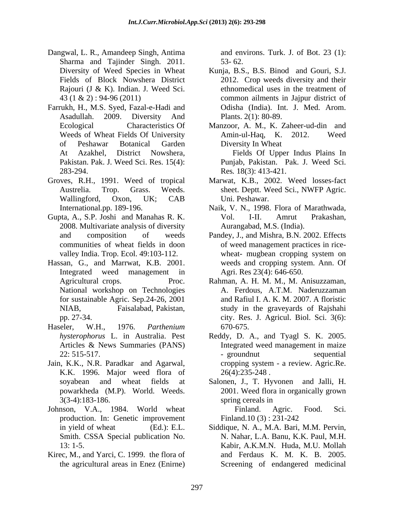- Dangwal, L. R., Amandeep Singh, Antima Sharma and Tajinder Singh. 2011. 53-62.
- Farrukh, H., M.S. Syed, Fazal-e-Hadi and 283-294. Res*.* 18(3): 413-421.
- Groves, R.H., 1991. Weed of tropical
- Gupta, A., S.P. Joshi and Manahas R. K. 2008. Multivariate analysis of diversity
- Hassan, G., and Marrwat, K.B. 2001. Integrated weed management in for sustainable Agric. Sep.24-26, 2001
- Haseler, W.H., 1976. *Parthenium*
- Jain, K.K., N.R. Paradkar and Agarwal, cropping system a review. Agric.Re.<br>K.K. 1996. Major weed flora of 26(4):235-248.
- Johnson, V.A., 1984. World wheat Finland. Agric. Food. Sci. production. In: Genetic improvement Finland.10 (3): 231-242
- Kirec, M., and Yarci, C. 1999. the flora of and Ferdaus K. M. K. B. 2005.

and environs. Turk. J. of Bot. 23 (1): 53- 62.

- Diversity of Weed Species in Wheat Kunja, B.S., B.S. Binod and Gouri, S.J. Fields of Block Nowshera District 2012. Crop weeds diversity and their Rajouri (J & K). Indian. J. Weed Sci. ethnomedical uses in the treatment of 43 (1 & 2) : 94-96 (2011) common ailments in Jajpur district of Asadullah. 2009. Diversity And ethnomedical uses in the treatment of Odisha (India). Int. J. Med. Arom. Plants. 2(1): 80-89.
- Ecological Characteristics Of Manzoor, A. M., K. Zaheer-ud-din and Weeds of Wheat Fields Of University Amin-ul-Haq, K. 2012. Weed of Peshawar Botanical Garden At Azakhel, District Nowshera, Fields Of Upper Indus Plains In Pakistan. Pak. J. Weed Sci. Res. 15(4): Punjab, Pakistan. Pak. J. Weed Sci. Amin-ul-Haq, K.  $2012$ . Diversity In Wheat
- Austrelia. Trop. Grass. Weeds. sheet. Deptt. Weed Sci., NWFP Agric. Wallingford, Oxon, UK; CAB Marwat, K.B., 2002. Weed losses-fact Uni. Peshawar.
- International.pp. 189-196. Naik, V. N., 1998. Flora of Marathwada, Vol. I-II. Amrut Prakashan, Aurangabad, M.S. (India).
- and composition of weeds Pandey, J., and Mishra, B.N. 2002. Effects communities of wheat fields in doon of weed management practices in rice valley India. Trop. Ecol. 49:103-112. wheat- mugbean cropping system on wheat- mugbean cropping system on weeds and cropping system. Ann. Of Agri. Res 23(4): 646-650.
- Agricultural crops. Proc. Rahman, A. H. M. M., M. Anisuzzaman, National workshop on Technologies A. Ferdous, A.T.M. Naderuzzaman NIAB, Faisalabad, Pakistan, study in the graveyards of Rajshahi pp. 27-34. city. Res. J. Agricul. Biol. Sci. 3(6): and Rafiul I. A. K. M. 2007. A floristic 670-675.
- *hysterophorus* L. in Australia. Pest Reddy, D. A., and Tyagl S. K. 2005. Articles & News Summaries (PANS) Integrated weed management in maize 22: 515-517. - groundnut sequential cropping system - a review. Agric.Re. 26(4):235-248 .
- soyabean and wheat fields at Salonen, J., T. Hyvonen and Jalli, H. powarkheda (M.P). World. Weeds. 2001. Weed flora in organically grown 3(3-4):183-186. spring cereals in

 Finland. Agric. Food. Sci. Finland.10 (3) : 231-242

in yield of wheat (Ed.): E.L. Siddique, N. A., M.A. Bari, M.M. Pervin, in yield of wheat (Ed.): E.L. Siddique, N. A., M.A. Bari, M.M. Pervin, Smith. CSSA Special publication No. N. Nahar, L.A. Banu, K.K. Paul, M.H. 13: 1-5. Kabir, A.K.M.N. Huda, M.U. Mollah the agricultural areas in Enez (Enirne) and Ferdaus K. M. K. B. 2005. Screening of endangered medicinal